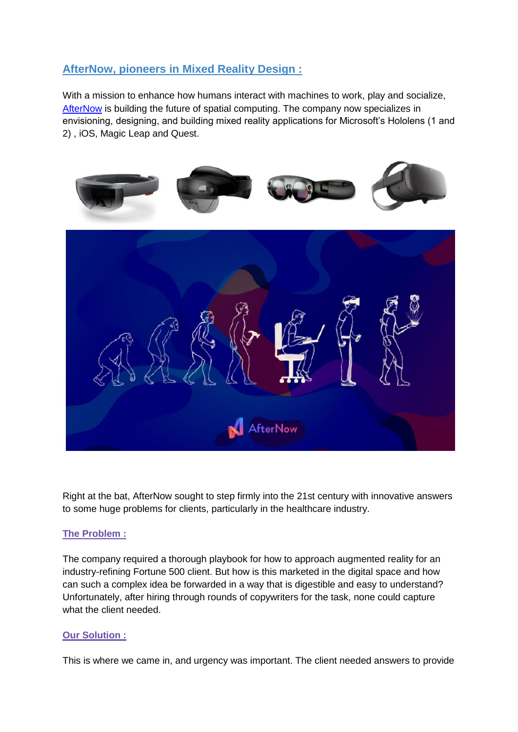## **AfterNow, pioneers in Mixed Reality Design :**

With a mission to enhance how humans interact with machines to work, play and socialize, [AfterNow](https://www.afternow.io/) is building the future of spatial computing. The company now specializes in envisioning, designing, and building mixed reality applications for Microsoft's Hololens (1 and 2) , iOS, Magic Leap and Quest.



Right at the bat, AfterNow sought to step firmly into the 21st century with innovative answers to some huge problems for clients, particularly in the healthcare industry.

## **The Problem :**

The company required a thorough playbook for how to approach augmented reality for an industry-refining Fortune 500 client. But how is this marketed in the digital space and how can such a complex idea be forwarded in a way that is digestible and easy to understand? Unfortunately, after hiring through rounds of copywriters for the task, none could capture what the client needed.

## **Our Solution :**

This is where we came in, and urgency was important. The client needed answers to provide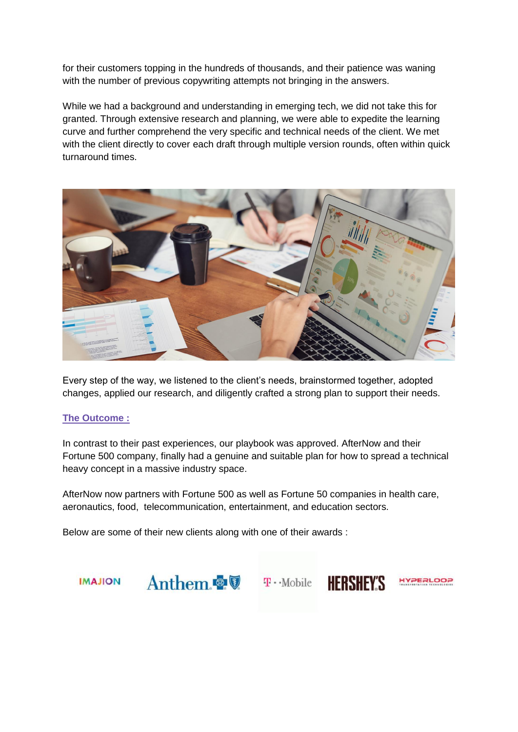for their customers topping in the hundreds of thousands, and their patience was waning with the number of previous copywriting attempts not bringing in the answers.

While we had a background and understanding in emerging tech, we did not take this for granted. Through extensive research and planning, we were able to expedite the learning curve and further comprehend the very specific and technical needs of the client. We met with the client directly to cover each draft through multiple version rounds, often within quick turnaround times.



Every step of the way, we listened to the client's needs, brainstormed together, adopted changes, applied our research, and diligently crafted a strong plan to support their needs.

## **The Outcome :**

In contrast to their past experiences, our playbook was approved. AfterNow and their Fortune 500 company, finally had a genuine and suitable plan for how to spread a technical heavy concept in a massive industry space.

AfterNow now partners with Fortune 500 as well as Fortune 50 companies in health care, aeronautics, food, telecommunication, entertainment, and education sectors.

Below are some of their new clients along with one of their awards :

**IMAJION**